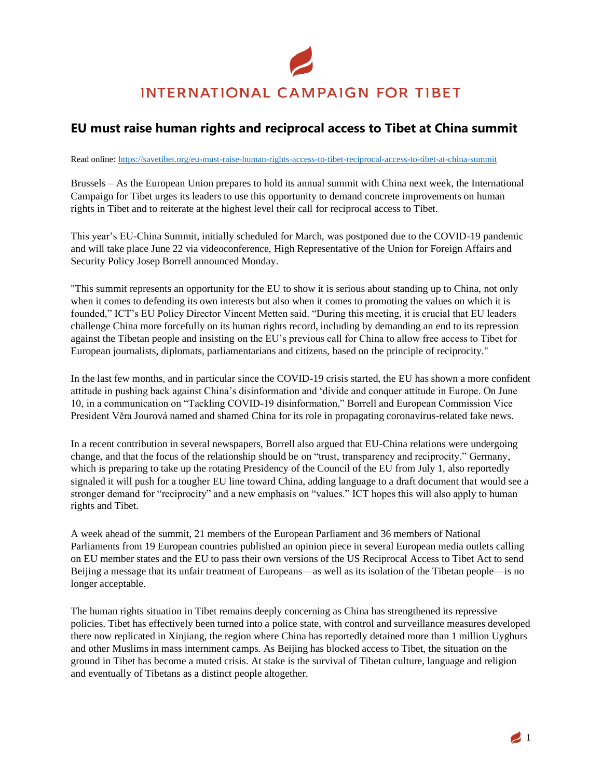## **INTERNATIONAL CAMPAIGN FOR TIBET**

## **EU must raise human rights and reciprocal access to Tibet at China summit**

Read online: <https://savetibet.org/eu-must-raise-human-rights-access-to-tibet-reciprocal-access-to-tibet-at-china-summit>

Brussels – As the European Union prepares to hold its annual summit with China next week, the International Campaign for Tibet urges its leaders to use this opportunity to demand concrete improvements on human rights in Tibet and to reiterate at the highest level their call for reciprocal access to Tibet.

This year's EU-China Summit, initially scheduled for March, was postponed due to the COVID-19 pandemic and will take place June 22 via videoconference, High Representative of the Union for Foreign Affairs and Security Policy Josep Borrell announced Monday.

"This summit represents an opportunity for the EU to show it is serious about standing up to China, not only when it comes to defending its own interests but also when it comes to promoting the values on which it is founded," ICT's EU Policy Director Vincent Metten said. "During this meeting, it is crucial that EU leaders challenge China more forcefully on its human rights record, including by demanding an end to its repression against the Tibetan people and insisting on the EU's previous call for China to allow free access to Tibet for European journalists, diplomats, parliamentarians and citizens, based on the principle of reciprocity."

In the last few months, and in particular since the COVID-19 crisis started, the EU has shown a more confident attitude in pushing back against China's disinformation and 'divide and conquer attitude in Europe. On June 10, in a communication on "Tackling COVID-19 disinformation," Borrell and European Commission Vice President Věra Jourová named and shamed China for its role in propagating coronavirus-related fake news.

In a recent contribution in several newspapers, Borrell also argued that EU-China relations were undergoing change, and that the focus of the relationship should be on "trust, transparency and reciprocity." Germany, which is preparing to take up the rotating Presidency of the Council of the EU from July 1, also reportedly signaled it will push for a tougher EU line toward China, adding language to a draft document that would see a stronger demand for "reciprocity" and a new emphasis on "values." ICT hopes this will also apply to human rights and Tibet.

A week ahead of the summit, 21 members of the European Parliament and 36 members of National Parliaments from 19 European countries published an opinion piece in several European media outlets calling on EU member states and the EU to pass their own versions of the US Reciprocal Access to Tibet Act to send Beijing a message that its unfair treatment of Europeans—as well as its isolation of the Tibetan people—is no longer acceptable.

The human rights situation in Tibet remains deeply concerning as China has strengthened its repressive policies. Tibet has effectively been turned into a police state, with control and surveillance measures developed there now replicated in Xinjiang, the region where China has reportedly detained more than 1 million Uyghurs and other Muslims in mass internment camps. As Beijing has blocked access to Tibet, the situation on the ground in Tibet has become a muted crisis. At stake is the survival of Tibetan culture, language and religion and eventually of Tibetans as a distinct people altogether.

 $\blacksquare$